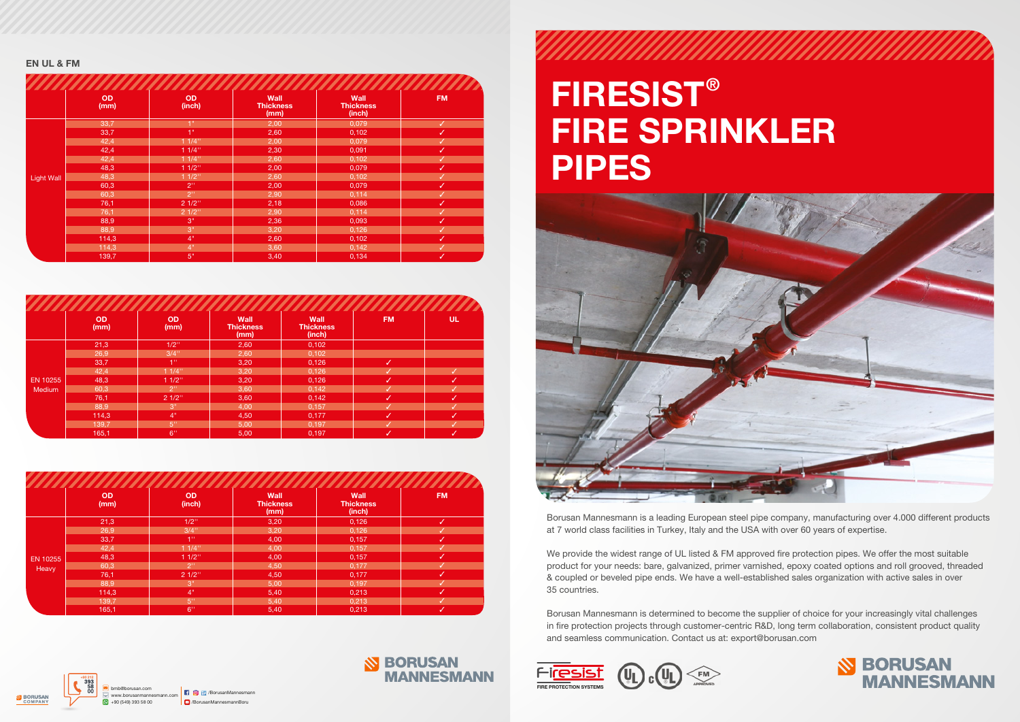# FIRESIST® FIRE SPRINKLER PIPES



Borusan Mannesmann is a leading European steel pipe company, manufacturing over 4.000 different products at 7 world class facilities in Turkey, Italy and the USA with over 60 years of expertise.

We provide the widest range of UL listed & FM approved fire protection pipes. We offer the most suitable product for your needs: bare, galvanized, primer varnished, epoxy coated options and roll grooved, threaded & coupled or beveled pipe ends. We have a well-established sales organization with active sales in over 35 countries.

Borusan Mannesmann is determined to become the supplier of choice for your increasingly vital challenges in fire protection projects through customer-centric R&D, long term collaboration, consistent product quality and seamless communication. Contact us at: export@borusan.com





#### EN UL & FM

|                   | <b>OD</b><br>(mm) | <b>OD</b><br>(inch) | Wall<br><b>Thickness</b><br>(mm) | Wall<br><b>Thickness</b><br>(inch) | <b>FM</b>    |
|-------------------|-------------------|---------------------|----------------------------------|------------------------------------|--------------|
|                   | 33,7              | 1"                  | 2,00                             | 0,079                              | $\checkmark$ |
|                   | 33,7              | 1 <sup>0</sup>      | 2,60                             | 0,102                              | ✓            |
|                   | 42,4              | 11/4"               | 2,00                             | 0,079                              | ✓            |
|                   | 42,4              | 11/4"               | 2,30                             | 0,091                              | ✓            |
|                   | 42,4              | 11/4"               | 2,60                             | 0,102                              | ✓            |
|                   | 48,3              | $11/2$ "            | 2,00                             | 0,079                              | ✓            |
| <b>Light Wall</b> | 48,3              | $11/2$ "            | 2,60                             | 0,102                              | ✓            |
|                   | 60,3              | 2 <sup>11</sup>     | 2,00                             | 0,079                              | ✓            |
|                   | 60,3              | 2 <sup>0</sup>      | 2,90                             | 0,114                              | ✓            |
|                   | 76,1              | 21/2"               | 2,18                             | 0,086                              | ✓            |
|                   | 76,1              | 21/2"               | 2,90                             | 0,114                              | ✓            |
|                   | 88,9              | 3"                  | 2,36                             | 0,093                              | ✓            |
|                   | 88,9              | 3"                  | 3,20                             | 0,126                              | ✓            |
|                   | 114,3             | 4"                  | 2,60                             | 0,102                              | ✓            |
|                   | 114,3             | 4"                  | 3,60                             | 0,142                              | ✓            |
|                   | 139,7             | 5"                  | 3,40                             | 0,134                              | ✓            |

|               | <b>OD</b><br>(mm) | <b>OD</b><br>(mm) | Wall<br><b>Thickness</b><br>(mm) | Wall<br><b>Thickness</b><br>(inch) | <b>FM</b>    | <b>UL</b> |
|---------------|-------------------|-------------------|----------------------------------|------------------------------------|--------------|-----------|
|               | 21,3              | $1/2$ "           | 2,60                             | 0,102                              |              |           |
|               | 26,9              | $3/4$ "           | 2,60                             | 0,102                              |              |           |
|               | 33,7              | l 1 ''            | 3,20                             | 0,126                              | l J          |           |
|               | 42,4              | 11/4"             | 3,20                             | 0,126                              |              |           |
| EN 10255      | 48,3              | $11/2$ "          | 3,20                             | 0,126                              | M            |           |
| <b>Medium</b> | 60,3              | 2"                | 3,60                             | 0,142                              |              |           |
|               | 76,1              | 21/2"             | 3,60                             | 0,142                              | ✓            | J         |
|               | 88,9              | 3"                | 4,00                             | 0,157                              | J            |           |
|               | 114,3             | 4"                | 4,50                             | 0,177                              | M            | IJ        |
|               | 139,7             | 5 <sup>0</sup>    | 5,00                             | 0,197                              |              |           |
|               | 165,1             | 6"                | 5,00                             | 0,197                              | $\checkmark$ | √         |

|                 | <b>OD</b><br>(mm) | <b>OD</b><br>(inch) | Wall<br><b>Thickness</b><br>(mm) | Wall<br><b>Thickness</b><br>(inch) | <b>FM</b> |
|-----------------|-------------------|---------------------|----------------------------------|------------------------------------|-----------|
|                 | 21,3              | $1/2$ "             | 3,20                             | 0,126                              | M         |
|                 | 26,9              | $3/4$ "             | 3,20                             | 0,126                              |           |
|                 | 33,7              | $4^{\rm m}$         | 4,00                             | 0,157                              | M         |
|                 | 42,4              | 11/4"               | 4,00                             | 0,157                              |           |
| <b>EN 10255</b> | 48,3              | $11/2$ "            | 4,00                             | 0,157                              | لري       |
| Heavy           | 60,3              | 2"                  | 4,50                             | 0,177                              |           |
|                 | 76,1              | 21/2"               | 4,50                             | 0,177                              | ≁         |
|                 | 88,9              | 3"                  | 5,00                             | 0,197                              |           |
|                 | 114,3             | 4"                  | 5,40                             | 0,213                              | u         |
|                 | 139,7             | 5"                  | 5,40                             | 0,213                              |           |
|                 | 165,1             | 6"                  | 5,40                             | 0,213                              | ✓         |

www.borusanmannesmann.com +90 (549) 393 58 00 bmb@borusan.com /BorusanMannesmann

## **S BORUSAN MANNESMANN**

/BorusanMannesmannBoru